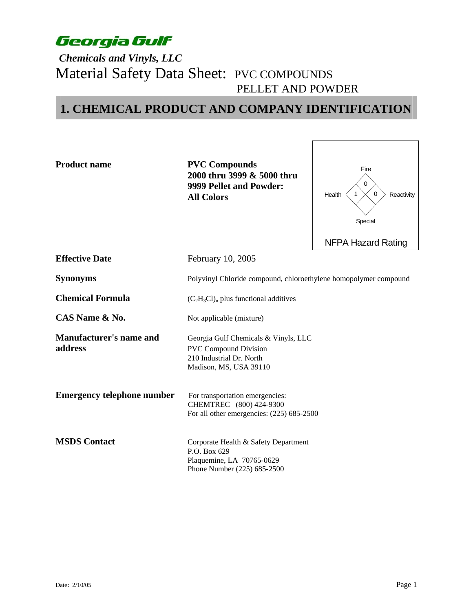### *Chemicals and Vinyls, LLC*  Material Safety Data Sheet: PVC COMPOUNDS PELLET AND POWDER

### **1. CHEMICAL PRODUCT AND COMPANY IDENTIFICATION**

**Product name PVC Compounds 2000 thru 3999 & 5000 thru 9999 Pellet and Powder: All Colors**



**Effective Date February 10, 2005** 

210 Industrial Dr. North Madison, MS, USA 39110

**Synonyms** Polyvinyl Chloride compound, chloroethylene homopolymer compound

**Chemical Formula**  $(C_2H_3Cl)$ <sub>n</sub> plus functional additives

**CAS Name & No.** Not applicable (mixture)

**Manufacturer's name and** *Georgia Gulf Chemicals & Vinyls, LLC* **address PVC** Compound Division

**Emergency telephone number** For transportation emergencies:

**MSDS Contact Corporate Health & Safety Department** P.O. Box 629 Plaquemine, LA 70765-0629 Phone Number (225) 685-2500

For all other emergencies: (225) 685-2500

CHEMTREC (800) 424-9300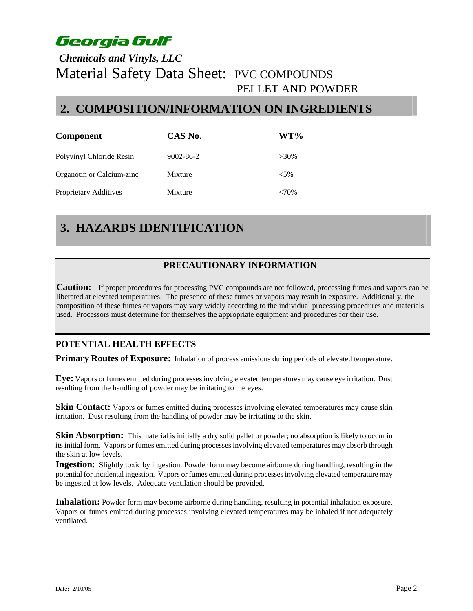### *Chemicals and Vinyls, LLC*  Material Safety Data Sheet: PVC COMPOUNDS PELLET AND POWDER

### **2. COMPOSITION/INFORMATION ON INGREDIENTS**

| <b>Component</b>          | CAS No.         | WT%       |
|---------------------------|-----------------|-----------|
| Polyvinyl Chloride Resin  | $9002 - 86 - 2$ | $>30\%$   |
| Organotin or Calcium-zinc | Mixture         | ${<}5\%$  |
| Proprietary Additives     | Mixture         | ${<}70\%$ |

# **3. HAZARDS IDENTIFICATION**

### **PRECAUTIONARY INFORMATION**

**Caution:** If proper procedures for processing PVC compounds are not followed, processing fumes and vapors can be liberated at elevated temperatures. The presence of these fumes or vapors may result in exposure. Additionally, the composition of these fumes or vapors may vary widely according to the individual processing procedures and materials used. Processors must determine for themselves the appropriate equipment and procedures for their use.

#### **POTENTIAL HEALTH EFFECTS**

**Primary Routes of Exposure:** Inhalation of process emissions during periods of elevated temperature.

**Eye:** Vapors or fumes emitted during processes involving elevated temperatures may cause eye irritation. Dust resulting from the handling of powder may be irritating to the eyes.

**Skin Contact:** Vapors or fumes emitted during processes involving elevated temperatures may cause skin irritation. Dust resulting from the handling of powder may be irritating to the skin.

**Skin Absorption:** This material is initially a dry solid pellet or powder; no absorption is likely to occur in its initial form. Vapors or fumes emitted during processes involving elevated temperatures may absorb through the skin at low levels.

**Ingestion**: Slightly toxic by ingestion. Powder form may become airborne during handling, resulting in the potential for incidental ingestion. Vapors or fumes emitted during processes involving elevated temperature may be ingested at low levels. Adequate ventilation should be provided.

**Inhalation:** Powder form may become airborne during handling, resulting in potential inhalation exposure. Vapors or fumes emitted during processes involving elevated temperatures may be inhaled if not adequately ventilated.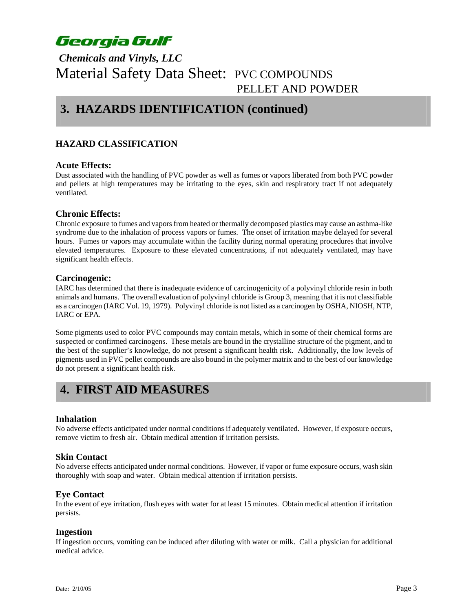### *Chemicals and Vinyls, LLC*  Material Safety Data Sheet: PVC COMPOUNDS PELLET AND POWDER

### **3. HAZARDS IDENTIFICATION (continued)**

#### **HAZARD CLASSIFICATION**

#### **Acute Effects:**

Dust associated with the handling of PVC powder as well as fumes or vapors liberated from both PVC powder and pellets at high temperatures may be irritating to the eyes, skin and respiratory tract if not adequately ventilated.

#### **Chronic Effects:**

Chronic exposure to fumes and vapors from heated or thermally decomposed plastics may cause an asthma-like syndrome due to the inhalation of process vapors or fumes. The onset of irritation maybe delayed for several hours. Fumes or vapors may accumulate within the facility during normal operating procedures that involve elevated temperatures. Exposure to these elevated concentrations, if not adequately ventilated, may have significant health effects.

#### **Carcinogenic:**

IARC has determined that there is inadequate evidence of carcinogenicity of a polyvinyl chloride resin in both animals and humans. The overall evaluation of polyvinyl chloride is Group 3, meaning that it is not classifiable as a carcinogen (IARC Vol. 19, 1979). Polyvinyl chloride is not listed as a carcinogen by OSHA, NIOSH, NTP, IARC or EPA.

Some pigments used to color PVC compounds may contain metals, which in some of their chemical forms are suspected or confirmed carcinogens. These metals are bound in the crystalline structure of the pigment, and to the best of the supplier's knowledge, do not present a significant health risk. Additionally, the low levels of pigments used in PVC pellet compounds are also bound in the polymer matrix and to the best of our knowledge do not present a significant health risk.

### **4. FIRST AID MEASURES**

#### **Inhalation**

No adverse effects anticipated under normal conditions if adequately ventilated. However, if exposure occurs, remove victim to fresh air. Obtain medical attention if irritation persists.

#### **Skin Contact**

No adverse effects anticipated under normal conditions. However, if vapor or fume exposure occurs, wash skin thoroughly with soap and water. Obtain medical attention if irritation persists.

#### **Eye Contact**

In the event of eye irritation, flush eyes with water for at least 15 minutes. Obtain medical attention if irritation persists.

#### **Ingestion**

If ingestion occurs, vomiting can be induced after diluting with water or milk. Call a physician for additional medical advice.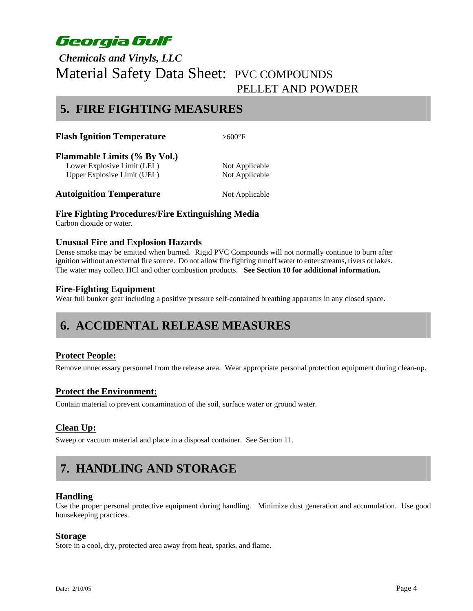### *Chemicals and Vinyls, LLC*  Material Safety Data Sheet: PVC COMPOUNDS PELLET AND POWDER

### **5. FIRE FIGHTING MEASURES**

|  | <b>Flash Ignition Temperature</b> | $>600^{\circ}$ F |
|--|-----------------------------------|------------------|
|--|-----------------------------------|------------------|

**Flammable Limits (% By Vol.)** 

Lower Explosive Limit (LEL) Not Applicable Upper Explosive Limit (UEL) Not Applicable

**Autoignition Temperature** Not Applicable

#### **Fire Fighting Procedures/Fire Extinguishing Media**

Carbon dioxide or water.

#### **Unusual Fire and Explosion Hazards**

Dense smoke may be emitted when burned. Rigid PVC Compounds will not normally continue to burn after ignition without an external fire source. Do not allow fire fighting runoff water to enter streams, rivers or lakes. The water may collect HCl and other combustion products. **See Section 10 for additional information.** 

#### **Fire-Fighting Equipment**

Wear full bunker gear including a positive pressure self-contained breathing apparatus in any closed space.

# **6. ACCIDENTAL RELEASE MEASURES**

#### **Protect People:**

Remove unnecessary personnel from the release area. Wear appropriate personal protection equipment during clean-up.

#### **Protect the Environment:**

Contain material to prevent contamination of the soil, surface water or ground water.

#### **Clean Up:**

Sweep or vacuum material and place in a disposal container. See Section 11.

# **7. HANDLING AND STORAGE**

#### **Handling**

Use the proper personal protective equipment during handling. Minimize dust generation and accumulation. Use good housekeeping practices.

#### **Storage**

Store in a cool, dry, protected area away from heat, sparks, and flame.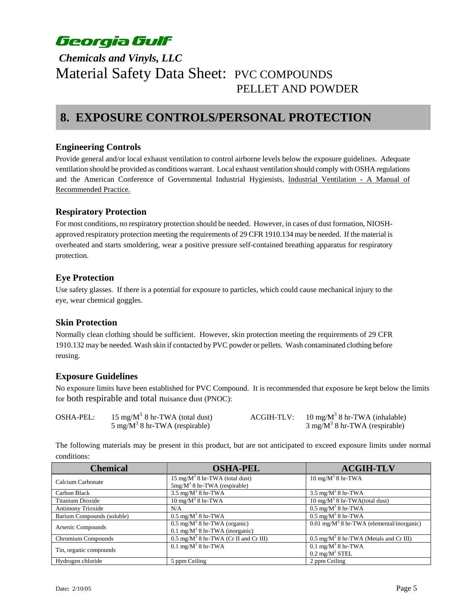### *Chemicals and Vinyls, LLC*  Material Safety Data Sheet: PVC COMPOUNDS PELLET AND POWDER

### **8. EXPOSURE CONTROLS/PERSONAL PROTECTION**

#### **Engineering Controls**

Provide general and/or local exhaust ventilation to control airborne levels below the exposure guidelines. Adequate ventilation should be provided as conditions warrant. Local exhaust ventilation should comply with OSHA regulations and the American Conference of Governmental Industrial Hygienists, Industrial Ventilation - A Manual of Recommended Practice.

#### **Respiratory Protection**

For most conditions, no respiratory protection should be needed. However, in cases of dust formation, NIOSHapproved respiratory protection meeting the requirements of 29 CFR 1910.134 may be needed. If the material is overheated and starts smoldering, wear a positive pressure self-contained breathing apparatus for respiratory protection.

#### **Eye Protection**

Use safety glasses. If there is a potential for exposure to particles, which could cause mechanical injury to the eye, wear chemical goggles.

#### **Skin Protection**

Normally clean clothing should be sufficient. However, skin protection meeting the requirements of 29 CFR 1910.132 may be needed. Wash skin if contacted by PVC powder or pellets. Wash contaminated clothing before reusing.

#### **Exposure Guidelines**

No exposure limits have been established for PVC Compound. It is recommended that exposure be kept below the limits for both respirable and total nuisance dust (PNOC):

| <b>OSHA-PEL:</b> | 15 mg/ $M^3$ 8 hr-TWA (total dust)       | <b>ACGIH-TLV:</b> | $10 \text{ mg/M}^3$ 8 hr-TWA (inhalable)         |
|------------------|------------------------------------------|-------------------|--------------------------------------------------|
|                  | $5 \text{ mg/M}^3$ 8 hr-TWA (respirable) |                   | $3 \text{ mg/M}^3 8 \text{ hr-TWA}$ (respirable) |

The following materials may be present in this product, but are not anticipated to exceed exposure limits under normal conditions:

| <b>Chemical</b>            | <b>OSHA-PEL</b>                                                                      | <b>ACGIH-TLV</b>                                           |
|----------------------------|--------------------------------------------------------------------------------------|------------------------------------------------------------|
| Calcium Carbonate          | $15 \text{ mg/M}^3$ 8 hr-TWA (total dust)<br>$5mg/M^3$ 8 hr-TWA (respirable)         | $10 \text{ mg/M}^3$ 8 hr-TWA                               |
| Carbon Black               | $3.5 \text{ mg/M}^3$ 8 hr-TWA                                                        | $3.5 \text{ mg/M}^3$ 8 hr-TWA                              |
| Titanium Dioxide           | $10 \text{ mg/M}^3$ 8 hr-TWA                                                         | $10 \text{ mg/M}^3$ 8 hr-TWA(total dust)                   |
| <b>Antimony Trioxide</b>   | N/A                                                                                  | $0.5 \text{ mg/M}^3$ 8 hr-TWA                              |
| Barium Compounds (soluble) | $0.5 \text{ mg/M}^3$ 8 hr-TWA                                                        | $0.5 \text{ mg/M}^3$ 8 hr-TWA                              |
| Arsenic Compounds          | $0.5 \text{ mg/M}^3$ 8 hr-TWA (organic)<br>$0.1 \text{ mg/M}^3$ 8 hr-TWA (inorganic) | $0.01$ mg/M <sup>3</sup> 8 hr-TWA (elemental/inorganic)    |
| Chromium Compounds         | $0.5 \text{ mg/M}^3$ 8 hr-TWA (Cr II and Cr III)                                     | $0.5 \text{ mg/M}^3$ 8 hr-TWA (Metals and Cr III)          |
| Tin, organic compounds     | $0.1 \text{ mg/M}^3$ 8 hr-TWA                                                        | $0.1 \text{ mg/M}^3$ 8 hr-TWA<br>$0.2 \text{ mg/M}^3$ STEL |
| Hydrogen chloride          | 5 ppm Ceiling                                                                        | 2 ppm Ceiling                                              |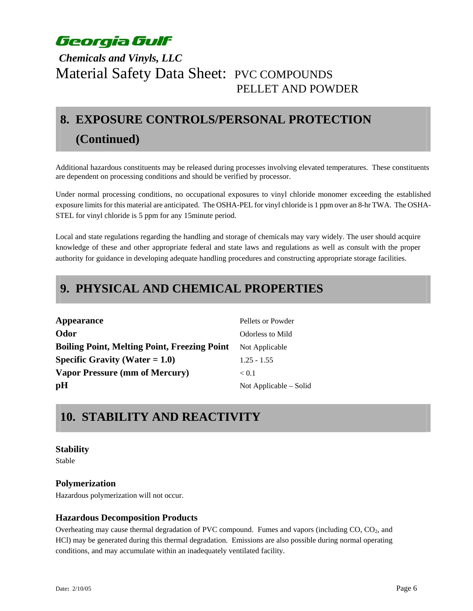### *Chemicals and Vinyls, LLC*  Material Safety Data Sheet: PVC COMPOUNDS PELLET AND POWDER

# **8. EXPOSURE CONTROLS/PERSONAL PROTECTION (Continued)**

Additional hazardous constituents may be released during processes involving elevated temperatures. These constituents are dependent on processing conditions and should be verified by processor.

Under normal processing conditions, no occupational exposures to vinyl chloride monomer exceeding the established exposure limits for this material are anticipated. The OSHA-PEL for vinyl chloride is 1 ppm over an 8-hr TWA. The OSHA-STEL for vinyl chloride is 5 ppm for any 15minute period.

Local and state regulations regarding the handling and storage of chemicals may vary widely. The user should acquire knowledge of these and other appropriate federal and state laws and regulations as well as consult with the proper authority for guidance in developing adequate handling procedures and constructing appropriate storage facilities.

### **9. PHYSICAL AND CHEMICAL PROPERTIES**

| Pellets or Powder       |
|-------------------------|
| <b>Odorless to Mild</b> |
| Not Applicable          |
| $1.25 - 1.55$           |
| < 0.1                   |
| Not Applicable – Solid  |
|                         |

# **10. STABILITY AND REACTIVITY**

#### **Stability**

Stable

#### **Polymerization**

Hazardous polymerization will not occur.

#### **Hazardous Decomposition Products**

Overheating may cause thermal degradation of PVC compound. Fumes and vapors (including CO, CO<sub>2</sub>, and HCl) may be generated during this thermal degradation. Emissions are also possible during normal operating conditions, and may accumulate within an inadequately ventilated facility.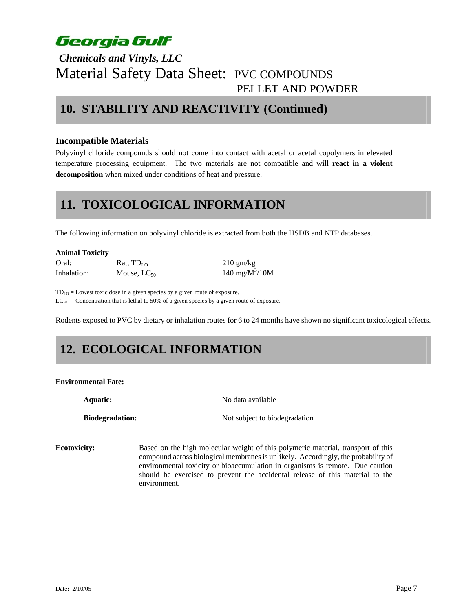### *Chemicals and Vinyls, LLC*  Material Safety Data Sheet: PVC COMPOUNDS PELLET AND POWDER

### **10. STABILITY AND REACTIVITY (Continued)**

#### **Incompatible Materials**

Polyvinyl chloride compounds should not come into contact with acetal or acetal copolymers in elevated temperature processing equipment. The two materials are not compatible and **will react in a violent decomposition** when mixed under conditions of heat and pressure.

### **11. TOXICOLOGICAL INFORMATION**

The following information on polyvinyl chloride is extracted from both the HSDB and NTP databases.

| <b>Animal Toxicity</b> |                  |                     |
|------------------------|------------------|---------------------|
| Oral:                  | Rat, $TD_{LO}$   | $210 \text{ gm/kg}$ |
| Inhalation:            | Mouse, $LC_{50}$ | 140 mg/ $M^3/10M$   |

TDLO = Lowest toxic dose in a given species by a given route of exposure.  $LC_{50}$  = Concentration that is lethal to 50% of a given species by a given route of exposure.

Rodents exposed to PVC by dietary or inhalation routes for 6 to 24 months have shown no significant toxicological effects.

# **12. ECOLOGICAL INFORMATION**

#### **Environmental Fate:**

**Aquatic:** No data available

**Biodegradation:** Not subject to biodegradation

**Ecotoxicity:** Based on the high molecular weight of this polymeric material, transport of this compound across biological membranes is unlikely. Accordingly, the probability of environmental toxicity or bioaccumulation in organisms is remote. Due caution should be exercised to prevent the accidental release of this material to the environment.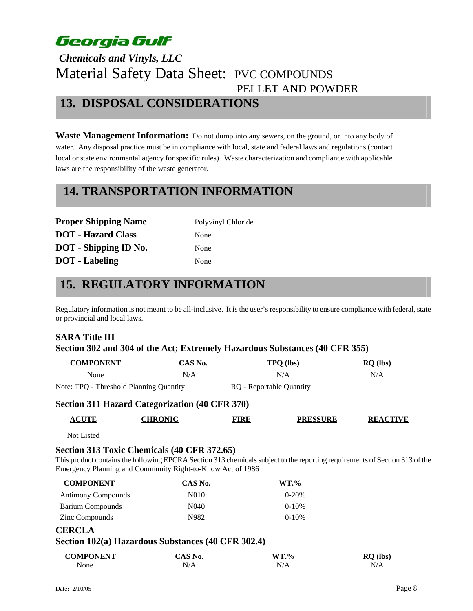# *Chemicals and Vinyls, LLC*  Material Safety Data Sheet: PVC COMPOUNDS PELLET AND POWDER **13. DISPOSAL CONSIDERATIONS**

**Waste Management Information:** Do not dump into any sewers, on the ground, or into any body of water. Any disposal practice must be in compliance with local, state and federal laws and regulations (contact local or state environmental agency for specific rules). Waste characterization and compliance with applicable laws are the responsibility of the waste generator.

### **14. TRANSPORTATION INFORMATION**

| <b>Proper Shipping Name</b>  | Polyvinyl Chloride |
|------------------------------|--------------------|
| <b>DOT</b> - Hazard Class    | None               |
| <b>DOT</b> - Shipping ID No. | None               |
| <b>DOT</b> - Labeling        | None               |

### **15. REGULATORY INFORMATION**

Regulatory information is not meant to be all-inclusive. It isthe user's responsibility to ensure compliance with federal, state or provincial and local laws.

### **SARA Title III Section 302 and 304 of the Act; Extremely Hazardous Substances (40 CFR 355)**

| <b>COMPONENT</b>                        | CAS No. | <b>TPO</b> (lbs)         | $RO$ (lbs) |
|-----------------------------------------|---------|--------------------------|------------|
| <b>None</b>                             | N/A     | N/A                      | N/A        |
| Note: TPQ - Threshold Planning Quantity |         | RQ - Reportable Quantity |            |

#### **Section 311 Hazard Categorization (40 CFR 370)**

| <b>ACUTE</b> | <b>CHRONIC</b> | FIRE | <b>PRESSURE</b> | <b>CTIVE</b><br><b>REAC</b> |
|--------------|----------------|------|-----------------|-----------------------------|
|--------------|----------------|------|-----------------|-----------------------------|

Not Listed

#### **Section 313 Toxic Chemicals (40 CFR 372.65)**

This product contains the following EPCRA Section 313 chemicals subject to the reporting requirements of Section 313 of the Emergency Planning and Community Right-to-Know Act of 1986

| <b>COMPONENT</b>   | CAS No. | $WT. \%$   |
|--------------------|---------|------------|
| Antimony Compounds | N010    | $0 - 20%$  |
| Barium Compounds   | N040    | $0-10%$    |
| Zinc Compounds     | N982.   | $0 - 10\%$ |

#### **CERCLA**

#### **Section 102(a) Hazardous Substances (40 CFR 302.4)**

| COMPONENT | NO.<br>Δ | $WT. \%$ | (lbs)<br>RC |
|-----------|----------|----------|-------------|
| None      | ۸        | N'       | N           |
|           | N/A      | 1 V / T  | 13/T        |